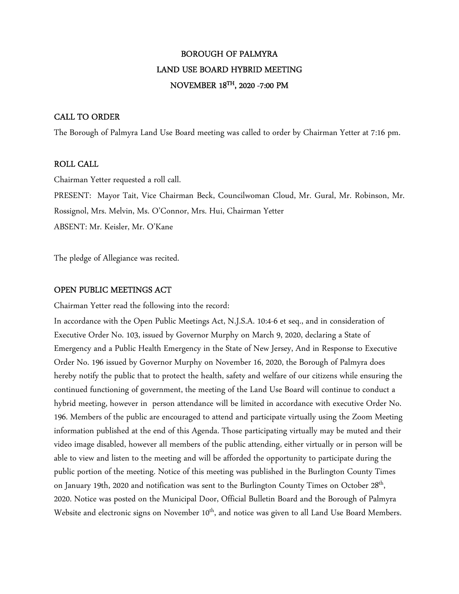# BOROUGH OF PALMYRA LAND USE BOARD HYBRID MEETING NOVEMBER 18TH, 2020 -7:00 PM

### CALL TO ORDER

The Borough of Palmyra Land Use Board meeting was called to order by Chairman Yetter at 7:16 pm.

### ROLL CALL

Chairman Yetter requested a roll call.

PRESENT: Mayor Tait, Vice Chairman Beck, Councilwoman Cloud, Mr. Gural, Mr. Robinson, Mr.

Rossignol, Mrs. Melvin, Ms. O'Connor, Mrs. Hui, Chairman Yetter

ABSENT: Mr. Keisler, Mr. O'Kane

The pledge of Allegiance was recited.

### OPEN PUBLIC MEETINGS ACT

Chairman Yetter read the following into the record:

In accordance with the Open Public Meetings Act, N.J.S.A. 10:4-6 et seq., and in consideration of Executive Order No. 103, issued by Governor Murphy on March 9, 2020, declaring a State of Emergency and a Public Health Emergency in the State of New Jersey, And in Response to Executive Order No. 196 issued by Governor Murphy on November 16, 2020, the Borough of Palmyra does hereby notify the public that to protect the health, safety and welfare of our citizens while ensuring the continued functioning of government, the meeting of the Land Use Board will continue to conduct a hybrid meeting, however in person attendance will be limited in accordance with executive Order No. 196. Members of the public are encouraged to attend and participate virtually using the Zoom Meeting information published at the end of this Agenda. Those participating virtually may be muted and their video image disabled, however all members of the public attending, either virtually or in person will be able to view and listen to the meeting and will be afforded the opportunity to participate during the public portion of the meeting. Notice of this meeting was published in the Burlington County Times on January 19th, 2020 and notification was sent to the Burlington County Times on October 28<sup>th</sup>, 2020. Notice was posted on the Municipal Door, Official Bulletin Board and the Borough of Palmyra Website and electronic signs on November 10<sup>th</sup>, and notice was given to all Land Use Board Members.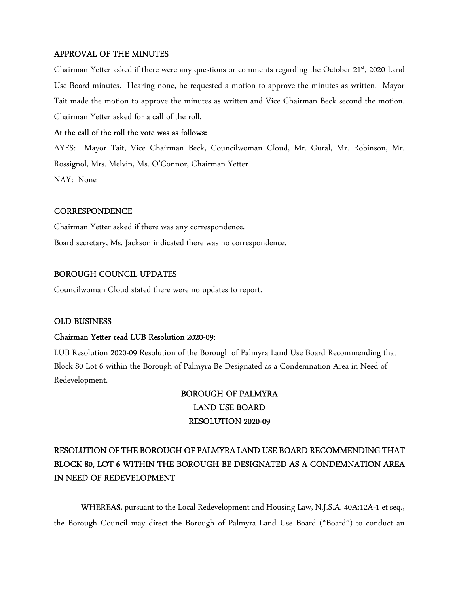# APPROVAL OF THE MINUTES

Chairman Yetter asked if there were any questions or comments regarding the October 21<sup>st</sup>, 2020 Land Use Board minutes. Hearing none, he requested a motion to approve the minutes as written. Mayor Tait made the motion to approve the minutes as written and Vice Chairman Beck second the motion. Chairman Yetter asked for a call of the roll.

### At the call of the roll the vote was as follows:

AYES: Mayor Tait, Vice Chairman Beck, Councilwoman Cloud, Mr. Gural, Mr. Robinson, Mr. Rossignol, Mrs. Melvin, Ms. O'Connor, Chairman Yetter NAY: None

## **CORRESPONDENCE**

Chairman Yetter asked if there was any correspondence. Board secretary, Ms. Jackson indicated there was no correspondence.

## BOROUGH COUNCIL UPDATES

Councilwoman Cloud stated there were no updates to report.

### OLD BUSINESS

### Chairman Yetter read LUB Resolution 2020-09:

LUB Resolution 2020-09 Resolution of the Borough of Palmyra Land Use Board Recommending that Block 80 Lot 6 within the Borough of Palmyra Be Designated as a Condemnation Area in Need of Redevelopment.

# BOROUGH OF PALMYRA LAND USE BOARD RESOLUTION 2020-09

# RESOLUTION OF THE BOROUGH OF PALMYRA LAND USE BOARD RECOMMENDING THAT BLOCK 80, LOT 6 WITHIN THE BOROUGH BE DESIGNATED AS A CONDEMNATION AREA IN NEED OF REDEVELOPMENT

WHEREAS, pursuant to the Local Redevelopment and Housing Law, N.J.S.A. 40A:12A-1 et seq., the Borough Council may direct the Borough of Palmyra Land Use Board ("Board") to conduct an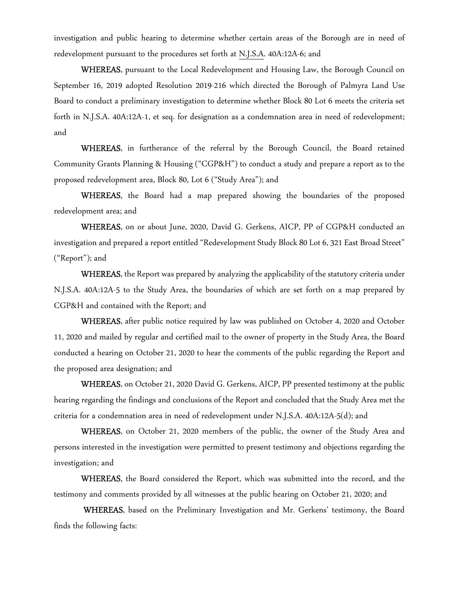investigation and public hearing to determine whether certain areas of the Borough are in need of redevelopment pursuant to the procedures set forth at N.J.S.A. 40A:12A-6; and

WHEREAS, pursuant to the Local Redevelopment and Housing Law, the Borough Council on September 16, 2019 adopted Resolution 2019-216 which directed the Borough of Palmyra Land Use Board to conduct a preliminary investigation to determine whether Block 80 Lot 6 meets the criteria set forth in N.J.S.A. 40A:12A-1, et seq. for designation as a condemnation area in need of redevelopment; and

WHEREAS, in furtherance of the referral by the Borough Council, the Board retained Community Grants Planning & Housing ("CGP&H") to conduct a study and prepare a report as to the proposed redevelopment area, Block 80, Lot 6 ("Study Area"); and

WHEREAS, the Board had a map prepared showing the boundaries of the proposed redevelopment area; and

WHEREAS, on or about June, 2020, David G. Gerkens, AICP, PP of CGP&H conducted an investigation and prepared a report entitled "Redevelopment Study Block 80 Lot 6, 321 East Broad Street" ("Report"); and

WHEREAS, the Report was prepared by analyzing the applicability of the statutory criteria under N.J.S.A. 40A:12A-5 to the Study Area, the boundaries of which are set forth on a map prepared by CGP&H and contained with the Report; and

WHEREAS, after public notice required by law was published on October 4, 2020 and October 11, 2020 and mailed by regular and certified mail to the owner of property in the Study Area, the Board conducted a hearing on October 21, 2020 to hear the comments of the public regarding the Report and the proposed area designation; and

WHEREAS, on October 21, 2020 David G. Gerkens, AICP, PP presented testimony at the public hearing regarding the findings and conclusions of the Report and concluded that the Study Area met the criteria for a condemnation area in need of redevelopment under N.J.S.A. 40A:12A-5(d); and

WHEREAS, on October 21, 2020 members of the public, the owner of the Study Area and persons interested in the investigation were permitted to present testimony and objections regarding the investigation; and

WHEREAS, the Board considered the Report, which was submitted into the record, and the testimony and comments provided by all witnesses at the public hearing on October 21, 2020; and

 WHEREAS, based on the Preliminary Investigation and Mr. Gerkens' testimony, the Board finds the following facts: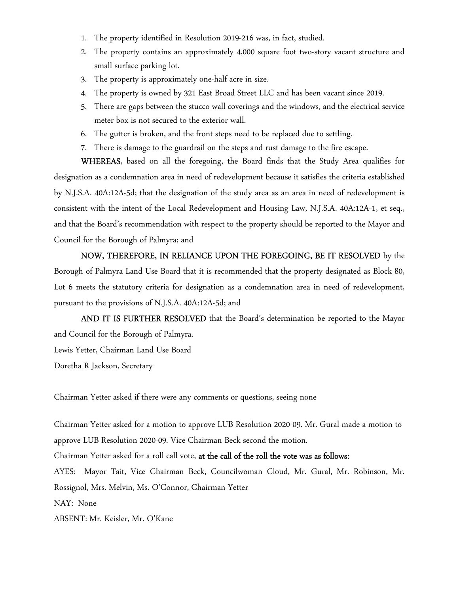- 1. The property identified in Resolution 2019-216 was, in fact, studied.
- 2. The property contains an approximately 4,000 square foot two-story vacant structure and small surface parking lot.
- 3. The property is approximately one-half acre in size.
- 4. The property is owned by 321 East Broad Street LLC and has been vacant since 2019.
- 5. There are gaps between the stucco wall coverings and the windows, and the electrical service meter box is not secured to the exterior wall.
- 6. The gutter is broken, and the front steps need to be replaced due to settling.
- 7. There is damage to the guardrail on the steps and rust damage to the fire escape.

WHEREAS, based on all the foregoing, the Board finds that the Study Area qualifies for designation as a condemnation area in need of redevelopment because it satisfies the criteria established by N.J.S.A. 40A:12A-5d; that the designation of the study area as an area in need of redevelopment is consistent with the intent of the Local Redevelopment and Housing Law, N.J.S.A. 40A:12A-1, et seq., and that the Board's recommendation with respect to the property should be reported to the Mayor and Council for the Borough of Palmyra; and

NOW, THEREFORE, IN RELIANCE UPON THE FOREGOING, BE IT RESOLVED by the Borough of Palmyra Land Use Board that it is recommended that the property designated as Block 80, Lot 6 meets the statutory criteria for designation as a condemnation area in need of redevelopment, pursuant to the provisions of N.J.S.A. 40A:12A-5d; and

AND IT IS FURTHER RESOLVED that the Board's determination be reported to the Mayor and Council for the Borough of Palmyra.

Lewis Yetter, Chairman Land Use Board

Doretha R Jackson, Secretary

Chairman Yetter asked if there were any comments or questions, seeing none

Chairman Yetter asked for a motion to approve LUB Resolution 2020-09. Mr. Gural made a motion to approve LUB Resolution 2020-09. Vice Chairman Beck second the motion. Chairman Yetter asked for a roll call vote, at the call of the roll the vote was as follows: AYES: Mayor Tait, Vice Chairman Beck, Councilwoman Cloud, Mr. Gural, Mr. Robinson, Mr. Rossignol, Mrs. Melvin, Ms. O'Connor, Chairman Yetter NAY: None ABSENT: Mr. Keisler, Mr. O'Kane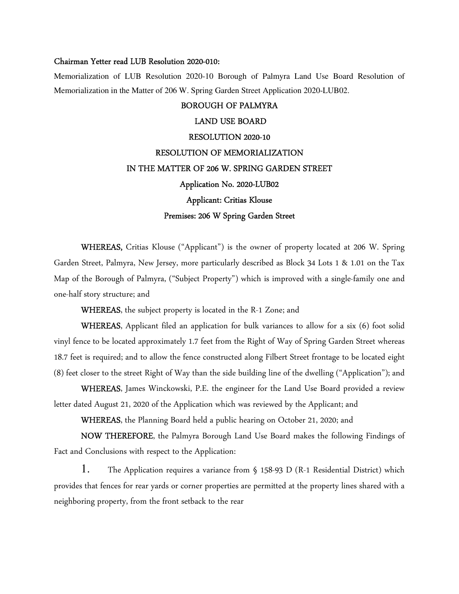#### Chairman Yetter read LUB Resolution 2020-010:

Memorialization of LUB Resolution 2020-10 Borough of Palmyra Land Use Board Resolution of Memorialization in the Matter of 206 W. Spring Garden Street Application 2020-LUB02.

## BOROUGH OF PALMYRA

# LAND USE BOARD RESOLUTION 2020-10 RESOLUTION OF MEMORIALIZATION IN THE MATTER OF 206 W. SPRING GARDEN STREET Application No. 2020-LUB02 Applicant: Critias Klouse Premises: 206 W Spring Garden Street

WHEREAS, Critias Klouse ("Applicant") is the owner of property located at 206 W. Spring Garden Street, Palmyra, New Jersey, more particularly described as Block 34 Lots 1 & 1.01 on the Tax Map of the Borough of Palmyra, ("Subject Property") which is improved with a single-family one and one-half story structure; and

WHEREAS, the subject property is located in the R-1 Zone; and

WHEREAS, Applicant filed an application for bulk variances to allow for a six (6) foot solid vinyl fence to be located approximately 1.7 feet from the Right of Way of Spring Garden Street whereas 18.7 feet is required; and to allow the fence constructed along Filbert Street frontage to be located eight (8) feet closer to the street Right of Way than the side building line of the dwelling ("Application"); and

WHEREAS, James Winckowski, P.E. the engineer for the Land Use Board provided a review letter dated August 21, 2020 of the Application which was reviewed by the Applicant; and

WHEREAS, the Planning Board held a public hearing on October 21, 2020; and

NOW THEREFORE, the Palmyra Borough Land Use Board makes the following Findings of Fact and Conclusions with respect to the Application:

1. The Application requires a variance from § 158-93 D (R-1 Residential District) which provides that fences for rear yards or corner properties are permitted at the property lines shared with a neighboring property, from the front setback to the rear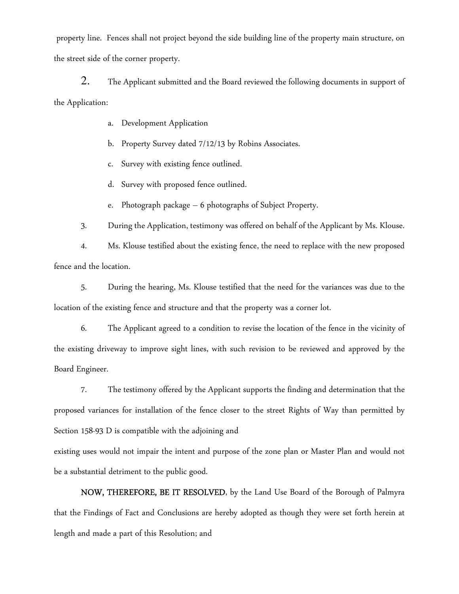property line. Fences shall not project beyond the side building line of the property main structure, on the street side of the corner property.

2. The Applicant submitted and the Board reviewed the following documents in support of the Application:

a. Development Application

b. Property Survey dated 7/12/13 by Robins Associates.

c. Survey with existing fence outlined.

d. Survey with proposed fence outlined.

Photograph package  $-6$  photographs of Subject Property.

3. During the Application, testimony was offered on behalf of the Applicant by Ms. Klouse.

4. Ms. Klouse testified about the existing fence, the need to replace with the new proposed fence and the location.

5. During the hearing, Ms. Klouse testified that the need for the variances was due to the location of the existing fence and structure and that the property was a corner lot.

 6. The Applicant agreed to a condition to revise the location of the fence in the vicinity of the existing driveway to improve sight lines, with such revision to be reviewed and approved by the Board Engineer.

 7. The testimony offered by the Applicant supports the finding and determination that the proposed variances for installation of the fence closer to the street Rights of Way than permitted by Section 158-93 D is compatible with the adjoining and

existing uses would not impair the intent and purpose of the zone plan or Master Plan and would not be a substantial detriment to the public good.

NOW, THEREFORE, BE IT RESOLVED, by the Land Use Board of the Borough of Palmyra that the Findings of Fact and Conclusions are hereby adopted as though they were set forth herein at length and made a part of this Resolution; and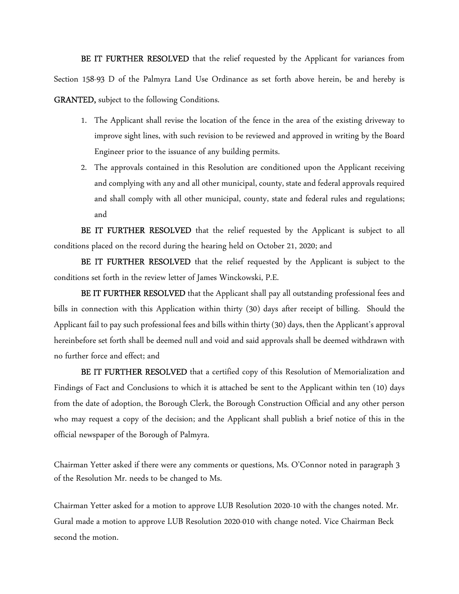BE IT FURTHER RESOLVED that the relief requested by the Applicant for variances from Section 158-93 D of the Palmyra Land Use Ordinance as set forth above herein, be and hereby is GRANTED, subject to the following Conditions.

- 1. The Applicant shall revise the location of the fence in the area of the existing driveway to improve sight lines, with such revision to be reviewed and approved in writing by the Board Engineer prior to the issuance of any building permits.
- 2. The approvals contained in this Resolution are conditioned upon the Applicant receiving and complying with any and all other municipal, county, state and federal approvals required and shall comply with all other municipal, county, state and federal rules and regulations; and

BE IT FURTHER RESOLVED that the relief requested by the Applicant is subject to all conditions placed on the record during the hearing held on October 21, 2020; and

BE IT FURTHER RESOLVED that the relief requested by the Applicant is subject to the conditions set forth in the review letter of James Winckowski, P.E.

BE IT FURTHER RESOLVED that the Applicant shall pay all outstanding professional fees and bills in connection with this Application within thirty (30) days after receipt of billing. Should the Applicant fail to pay such professional fees and bills within thirty (30) days, then the Applicant's approval hereinbefore set forth shall be deemed null and void and said approvals shall be deemed withdrawn with no further force and effect; and

BE IT FURTHER RESOLVED that a certified copy of this Resolution of Memorialization and Findings of Fact and Conclusions to which it is attached be sent to the Applicant within ten (10) days from the date of adoption, the Borough Clerk, the Borough Construction Official and any other person who may request a copy of the decision; and the Applicant shall publish a brief notice of this in the official newspaper of the Borough of Palmyra.

Chairman Yetter asked if there were any comments or questions, Ms. O'Connor noted in paragraph 3 of the Resolution Mr. needs to be changed to Ms.

Chairman Yetter asked for a motion to approve LUB Resolution 2020-10 with the changes noted. Mr. Gural made a motion to approve LUB Resolution 2020-010 with change noted. Vice Chairman Beck second the motion.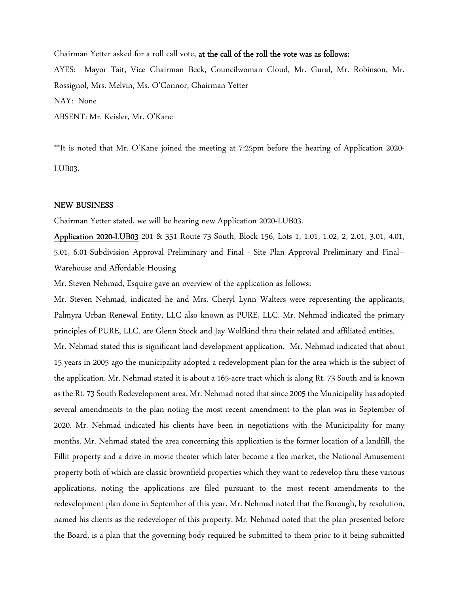Chairman Yetter asked for a roll call vote, at the call of the roll the vote was as follows: AYES: Mayor Tait, Vice Chairman Beck, Councilwoman Cloud, Mr. Gural, Mr. Robinson, Mr. Rossignol, Mrs. Melvin, Ms. O'Connor, Chairman Yetter NAY: None ABSENT: Mr. Keisler, Mr. O'Kane

\*\*It is noted that Mr. O'Kane joined the meeting at 7:25pm before the hearing of Application 2020- LUB03.

#### NEW BUSINESS

Chairman Yetter stated, we will be hearing new Application 2020-LUB03.

Application 2020-LUB03 201 & 351 Route 73 South, Block 156, Lots 1, 1.01, 1.02, 2, 2.01, 3.01, 4.01, 5.01, 6.01-Subdivision Approval Preliminary and Final - Site Plan Approval Preliminary and Final– Warehouse and Affordable Housing

Mr. Steven Nehmad, Esquire gave an overview of the application as follows:

Mr. Steven Nehmad, indicated he and Mrs. Cheryl Lynn Walters were representing the applicants, Palmyra Urban Renewal Entity, LLC also known as PURE, LLC. Mr. Nehmad indicated the primary principles of PURE, LLC. are Glenn Stock and Jay Wolfkind thru their related and affiliated entities. Mr. Nehmad stated this is significant land development application. Mr. Nehmad indicated that about 15 years in 2005 ago the municipality adopted a redevelopment plan for the area which is the subject of the application. Mr. Nehmad stated it is about a 165-acre tract which is along Rt. 73 South and is known as the Rt. 73 South Redevelopment area. Mr. Nehmad noted that since 2005 the Municipality has adopted several amendments to the plan noting the most recent amendment to the plan was in September of 2020. Mr. Nehmad indicated his clients have been in negotiations with the Municipality for many months. Mr. Nehmad stated the area concerning this application is the former location of a landfill, the Fillit property and a drive-in movie theater which later become a flea market, the National Amusement property both of which are classic brownfield properties which they want to redevelop thru these various applications, noting the applications are filed pursuant to the most recent amendments to the redevelopment plan done in September of this year. Mr. Nehmad noted that the Borough, by resolution, named his clients as the redeveloper of this property. Mr. Nehmad noted that the plan presented before the Board, is a plan that the governing body required be submitted to them prior to it being submitted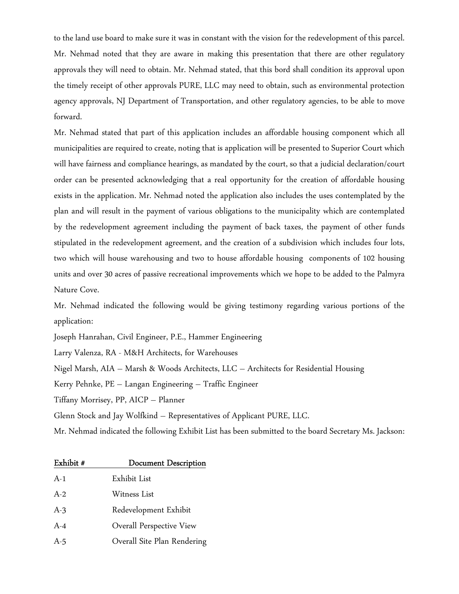to the land use board to make sure it was in constant with the vision for the redevelopment of this parcel. Mr. Nehmad noted that they are aware in making this presentation that there are other regulatory approvals they will need to obtain. Mr. Nehmad stated, that this bord shall condition its approval upon the timely receipt of other approvals PURE, LLC may need to obtain, such as environmental protection agency approvals, NJ Department of Transportation, and other regulatory agencies, to be able to move forward.

Mr. Nehmad stated that part of this application includes an affordable housing component which all municipalities are required to create, noting that is application will be presented to Superior Court which will have fairness and compliance hearings, as mandated by the court, so that a judicial declaration/court order can be presented acknowledging that a real opportunity for the creation of affordable housing exists in the application. Mr. Nehmad noted the application also includes the uses contemplated by the plan and will result in the payment of various obligations to the municipality which are contemplated by the redevelopment agreement including the payment of back taxes, the payment of other funds stipulated in the redevelopment agreement, and the creation of a subdivision which includes four lots, two which will house warehousing and two to house affordable housing components of 102 housing units and over 30 acres of passive recreational improvements which we hope to be added to the Palmyra Nature Cove.

Mr. Nehmad indicated the following would be giving testimony regarding various portions of the application:

Joseph Hanrahan, Civil Engineer, P.E., Hammer Engineering

Larry Valenza, RA - M&H Architects, for Warehouses

Nigel Marsh, AIA – Marsh & Woods Architects, LLC – Architects for Residential Housing

Kerry Pehnke, PE – Langan Engineering – Traffic Engineer

Tiffany Morrisey, PP, AICP – Planner

Glenn Stock and Jay Wolfkind – Representatives of Applicant PURE, LLC.

Mr. Nehmad indicated the following Exhibit List has been submitted to the board Secretary Ms. Jackson:

| Exhibit # | <b>Document Description</b> |
|-----------|-----------------------------|
| $A-1$     | Exhibit List                |
| $A-2$     | Witness List                |
| $A-3$     | Redevelopment Exhibit       |
| $A - 4$   | Overall Perspective View    |
| A-5       | Overall Site Plan Rendering |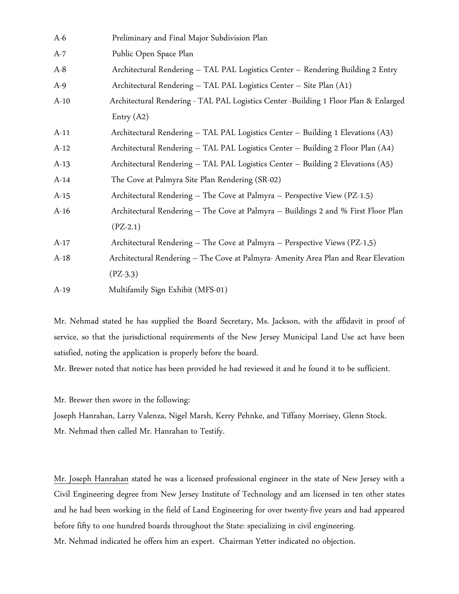| $A-6$  | Preliminary and Final Major Subdivision Plan                                         |
|--------|--------------------------------------------------------------------------------------|
| $A-7$  | Public Open Space Plan                                                               |
| $A-8$  | Architectural Rendering - TAL PAL Logistics Center - Rendering Building 2 Entry      |
| $A-9$  | Architectural Rendering - TAL PAL Logistics Center - Site Plan (A1)                  |
| $A-10$ | Architectural Rendering - TAL PAL Logistics Center -Building 1 Floor Plan & Enlarged |
|        | Entry $(A2)$                                                                         |
| $A-11$ | Architectural Rendering - TAL PAL Logistics Center - Building 1 Elevations (A3)      |
| $A-12$ | Architectural Rendering - TAL PAL Logistics Center - Building 2 Floor Plan (A4)      |
| $A-13$ | Architectural Rendering - TAL PAL Logistics Center - Building 2 Elevations (A5)      |
| $A-14$ | The Cove at Palmyra Site Plan Rendering (SR-02)                                      |
| $A-15$ | Architectural Rendering - The Cove at Palmyra - Perspective View (PZ-1.5)            |
| $A-16$ | Architectural Rendering - The Cove at Palmyra - Buildings 2 and % First Floor Plan   |
|        | $(PZ-2.1)$                                                                           |
| $A-17$ | Architectural Rendering - The Cove at Palmyra - Perspective Views (PZ-1,5)           |
| $A-18$ | Architectural Rendering - The Cove at Palmyra- Amenity Area Plan and Rear Elevation  |
|        | $(PZ-3.3)$                                                                           |
| $A-19$ | Multifamily Sign Exhibit (MFS-01)                                                    |

Mr. Nehmad stated he has supplied the Board Secretary, Ms. Jackson, with the affidavit in proof of service, so that the jurisdictional requirements of the New Jersey Municipal Land Use act have been satisfied, noting the application is properly before the board.

Mr. Brewer noted that notice has been provided he had reviewed it and he found it to be sufficient.

Mr. Brewer then swore in the following:

Joseph Hanrahan, Larry Valenza, Nigel Marsh, Kerry Pehnke, and Tiffany Morrisey, Glenn Stock. Mr. Nehmad then called Mr. Hanrahan to Testify.

Mr. Joseph Hanrahan stated he was a licensed professional engineer in the state of New Jersey with a Civil Engineering degree from New Jersey Institute of Technology and am licensed in ten other states and he had been working in the field of Land Engineering for over twenty-five years and had appeared before fifty to one hundred boards throughout the State: specializing in civil engineering. Mr. Nehmad indicated he offers him an expert. Chairman Yetter indicated no objection.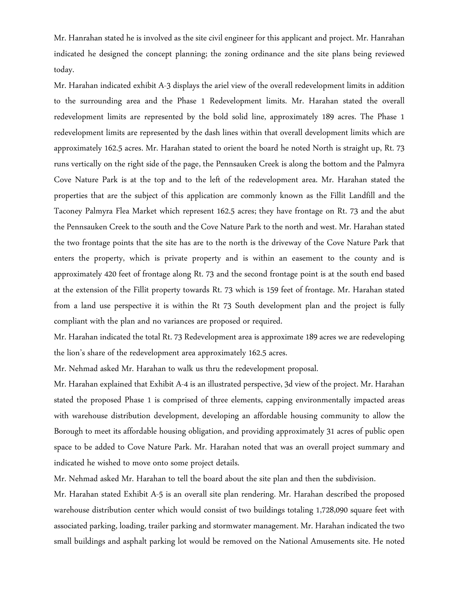Mr. Hanrahan stated he is involved as the site civil engineer for this applicant and project. Mr. Hanrahan indicated he designed the concept planning; the zoning ordinance and the site plans being reviewed today.

Mr. Harahan indicated exhibit A-3 displays the ariel view of the overall redevelopment limits in addition to the surrounding area and the Phase 1 Redevelopment limits. Mr. Harahan stated the overall redevelopment limits are represented by the bold solid line, approximately 189 acres. The Phase 1 redevelopment limits are represented by the dash lines within that overall development limits which are approximately 162.5 acres. Mr. Harahan stated to orient the board he noted North is straight up, Rt. 73 runs vertically on the right side of the page, the Pennsauken Creek is along the bottom and the Palmyra Cove Nature Park is at the top and to the left of the redevelopment area. Mr. Harahan stated the properties that are the subject of this application are commonly known as the Fillit Landfill and the Taconey Palmyra Flea Market which represent 162.5 acres; they have frontage on Rt. 73 and the abut the Pennsauken Creek to the south and the Cove Nature Park to the north and west. Mr. Harahan stated the two frontage points that the site has are to the north is the driveway of the Cove Nature Park that enters the property, which is private property and is within an easement to the county and is approximately 420 feet of frontage along Rt. 73 and the second frontage point is at the south end based at the extension of the Fillit property towards Rt. 73 which is 159 feet of frontage. Mr. Harahan stated from a land use perspective it is within the Rt 73 South development plan and the project is fully compliant with the plan and no variances are proposed or required.

Mr. Harahan indicated the total Rt. 73 Redevelopment area is approximate 189 acres we are redeveloping the lion's share of the redevelopment area approximately 162.5 acres.

Mr. Nehmad asked Mr. Harahan to walk us thru the redevelopment proposal.

Mr. Harahan explained that Exhibit A-4 is an illustrated perspective, 3d view of the project. Mr. Harahan stated the proposed Phase 1 is comprised of three elements, capping environmentally impacted areas with warehouse distribution development, developing an affordable housing community to allow the Borough to meet its affordable housing obligation, and providing approximately 31 acres of public open space to be added to Cove Nature Park. Mr. Harahan noted that was an overall project summary and indicated he wished to move onto some project details.

Mr. Nehmad asked Mr. Harahan to tell the board about the site plan and then the subdivision.

Mr. Harahan stated Exhibit A-5 is an overall site plan rendering. Mr. Harahan described the proposed warehouse distribution center which would consist of two buildings totaling 1,728,090 square feet with associated parking, loading, trailer parking and stormwater management. Mr. Harahan indicated the two small buildings and asphalt parking lot would be removed on the National Amusements site. He noted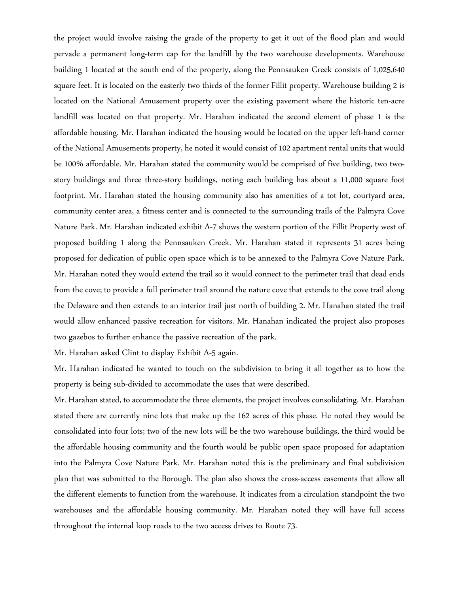the project would involve raising the grade of the property to get it out of the flood plan and would pervade a permanent long-term cap for the landfill by the two warehouse developments. Warehouse building 1 located at the south end of the property, along the Pennsauken Creek consists of 1,025,640 square feet. It is located on the easterly two thirds of the former Fillit property. Warehouse building 2 is located on the National Amusement property over the existing pavement where the historic ten-acre landfill was located on that property. Mr. Harahan indicated the second element of phase 1 is the affordable housing. Mr. Harahan indicated the housing would be located on the upper left-hand corner of the National Amusements property, he noted it would consist of 102 apartment rental units that would be 100% affordable. Mr. Harahan stated the community would be comprised of five building, two twostory buildings and three three-story buildings, noting each building has about a 11,000 square foot footprint. Mr. Harahan stated the housing community also has amenities of a tot lot, courtyard area, community center area, a fitness center and is connected to the surrounding trails of the Palmyra Cove Nature Park. Mr. Harahan indicated exhibit A-7 shows the western portion of the Fillit Property west of proposed building 1 along the Pennsauken Creek. Mr. Harahan stated it represents 31 acres being proposed for dedication of public open space which is to be annexed to the Palmyra Cove Nature Park. Mr. Harahan noted they would extend the trail so it would connect to the perimeter trail that dead ends from the cove; to provide a full perimeter trail around the nature cove that extends to the cove trail along the Delaware and then extends to an interior trail just north of building 2. Mr. Hanahan stated the trail would allow enhanced passive recreation for visitors. Mr. Hanahan indicated the project also proposes two gazebos to further enhance the passive recreation of the park.

Mr. Harahan asked Clint to display Exhibit A-5 again.

Mr. Harahan indicated he wanted to touch on the subdivision to bring it all together as to how the property is being sub-divided to accommodate the uses that were described.

Mr. Harahan stated, to accommodate the three elements, the project involves consolidating. Mr. Harahan stated there are currently nine lots that make up the 162 acres of this phase. He noted they would be consolidated into four lots; two of the new lots will be the two warehouse buildings, the third would be the affordable housing community and the fourth would be public open space proposed for adaptation into the Palmyra Cove Nature Park. Mr. Harahan noted this is the preliminary and final subdivision plan that was submitted to the Borough. The plan also shows the cross-access easements that allow all the different elements to function from the warehouse. It indicates from a circulation standpoint the two warehouses and the affordable housing community. Mr. Harahan noted they will have full access throughout the internal loop roads to the two access drives to Route 73.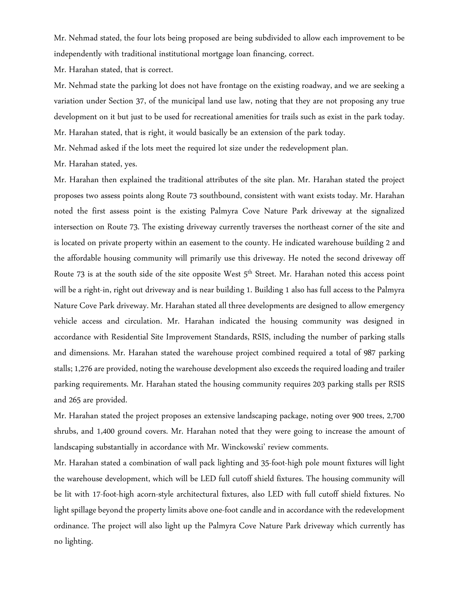Mr. Nehmad stated, the four lots being proposed are being subdivided to allow each improvement to be independently with traditional institutional mortgage loan financing, correct.

Mr. Harahan stated, that is correct.

Mr. Nehmad state the parking lot does not have frontage on the existing roadway, and we are seeking a variation under Section 37, of the municipal land use law, noting that they are not proposing any true development on it but just to be used for recreational amenities for trails such as exist in the park today. Mr. Harahan stated, that is right, it would basically be an extension of the park today.

Mr. Nehmad asked if the lots meet the required lot size under the redevelopment plan.

Mr. Harahan stated, yes.

Mr. Harahan then explained the traditional attributes of the site plan. Mr. Harahan stated the project proposes two assess points along Route 73 southbound, consistent with want exists today. Mr. Harahan noted the first assess point is the existing Palmyra Cove Nature Park driveway at the signalized intersection on Route 73. The existing driveway currently traverses the northeast corner of the site and is located on private property within an easement to the county. He indicated warehouse building 2 and the affordable housing community will primarily use this driveway. He noted the second driveway off Route 73 is at the south side of the site opposite West  $5<sup>th</sup>$  Street. Mr. Harahan noted this access point will be a right-in, right out driveway and is near building 1. Building 1 also has full access to the Palmyra Nature Cove Park driveway. Mr. Harahan stated all three developments are designed to allow emergency vehicle access and circulation. Mr. Harahan indicated the housing community was designed in accordance with Residential Site Improvement Standards, RSIS, including the number of parking stalls and dimensions. Mr. Harahan stated the warehouse project combined required a total of 987 parking stalls; 1,276 are provided, noting the warehouse development also exceeds the required loading and trailer parking requirements. Mr. Harahan stated the housing community requires 203 parking stalls per RSIS and 265 are provided.

Mr. Harahan stated the project proposes an extensive landscaping package, noting over 900 trees, 2,700 shrubs, and 1,400 ground covers. Mr. Harahan noted that they were going to increase the amount of landscaping substantially in accordance with Mr. Winckowski' review comments.

Mr. Harahan stated a combination of wall pack lighting and 35-foot-high pole mount fixtures will light the warehouse development, which will be LED full cutoff shield fixtures. The housing community will be lit with 17-foot-high acorn-style architectural fixtures, also LED with full cutoff shield fixtures. No light spillage beyond the property limits above one-foot candle and in accordance with the redevelopment ordinance. The project will also light up the Palmyra Cove Nature Park driveway which currently has no lighting.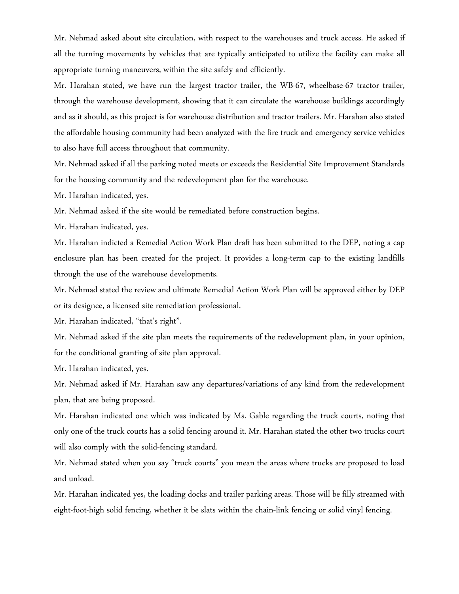Mr. Nehmad asked about site circulation, with respect to the warehouses and truck access. He asked if all the turning movements by vehicles that are typically anticipated to utilize the facility can make all appropriate turning maneuvers, within the site safely and efficiently.

Mr. Harahan stated, we have run the largest tractor trailer, the WB-67, wheelbase-67 tractor trailer, through the warehouse development, showing that it can circulate the warehouse buildings accordingly and as it should, as this project is for warehouse distribution and tractor trailers. Mr. Harahan also stated the affordable housing community had been analyzed with the fire truck and emergency service vehicles to also have full access throughout that community.

Mr. Nehmad asked if all the parking noted meets or exceeds the Residential Site Improvement Standards for the housing community and the redevelopment plan for the warehouse.

Mr. Harahan indicated, yes.

Mr. Nehmad asked if the site would be remediated before construction begins.

Mr. Harahan indicated, yes.

Mr. Harahan indicted a Remedial Action Work Plan draft has been submitted to the DEP, noting a cap enclosure plan has been created for the project. It provides a long-term cap to the existing landfills through the use of the warehouse developments.

Mr. Nehmad stated the review and ultimate Remedial Action Work Plan will be approved either by DEP or its designee, a licensed site remediation professional.

Mr. Harahan indicated, "that's right".

Mr. Nehmad asked if the site plan meets the requirements of the redevelopment plan, in your opinion, for the conditional granting of site plan approval.

Mr. Harahan indicated, yes.

Mr. Nehmad asked if Mr. Harahan saw any departures/variations of any kind from the redevelopment plan, that are being proposed.

Mr. Harahan indicated one which was indicated by Ms. Gable regarding the truck courts, noting that only one of the truck courts has a solid fencing around it. Mr. Harahan stated the other two trucks court will also comply with the solid-fencing standard.

Mr. Nehmad stated when you say "truck courts" you mean the areas where trucks are proposed to load and unload.

Mr. Harahan indicated yes, the loading docks and trailer parking areas. Those will be filly streamed with eight-foot-high solid fencing, whether it be slats within the chain-link fencing or solid vinyl fencing.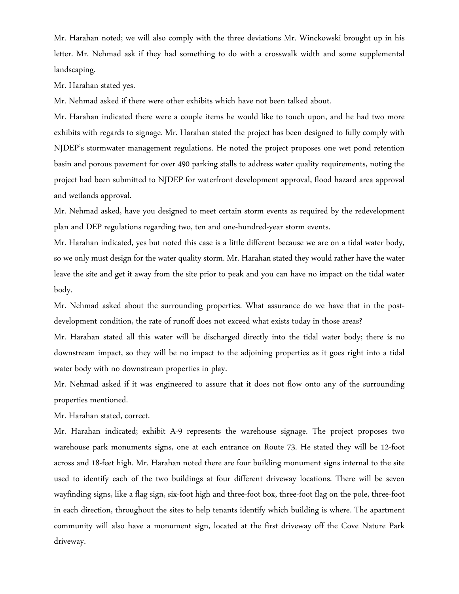Mr. Harahan noted; we will also comply with the three deviations Mr. Winckowski brought up in his letter. Mr. Nehmad ask if they had something to do with a crosswalk width and some supplemental landscaping.

Mr. Harahan stated yes.

Mr. Nehmad asked if there were other exhibits which have not been talked about.

Mr. Harahan indicated there were a couple items he would like to touch upon, and he had two more exhibits with regards to signage. Mr. Harahan stated the project has been designed to fully comply with NJDEP's stormwater management regulations. He noted the project proposes one wet pond retention basin and porous pavement for over 490 parking stalls to address water quality requirements, noting the project had been submitted to NJDEP for waterfront development approval, flood hazard area approval and wetlands approval.

Mr. Nehmad asked, have you designed to meet certain storm events as required by the redevelopment plan and DEP regulations regarding two, ten and one-hundred-year storm events.

Mr. Harahan indicated, yes but noted this case is a little different because we are on a tidal water body, so we only must design for the water quality storm. Mr. Harahan stated they would rather have the water leave the site and get it away from the site prior to peak and you can have no impact on the tidal water body.

Mr. Nehmad asked about the surrounding properties. What assurance do we have that in the postdevelopment condition, the rate of runoff does not exceed what exists today in those areas?

Mr. Harahan stated all this water will be discharged directly into the tidal water body; there is no downstream impact, so they will be no impact to the adjoining properties as it goes right into a tidal water body with no downstream properties in play.

Mr. Nehmad asked if it was engineered to assure that it does not flow onto any of the surrounding properties mentioned.

Mr. Harahan stated, correct.

Mr. Harahan indicated; exhibit A-9 represents the warehouse signage. The project proposes two warehouse park monuments signs, one at each entrance on Route 73. He stated they will be 12-foot across and 18-feet high. Mr. Harahan noted there are four building monument signs internal to the site used to identify each of the two buildings at four different driveway locations. There will be seven wayfinding signs, like a flag sign, six-foot high and three-foot box, three-foot flag on the pole, three-foot in each direction, throughout the sites to help tenants identify which building is where. The apartment community will also have a monument sign, located at the first driveway off the Cove Nature Park driveway.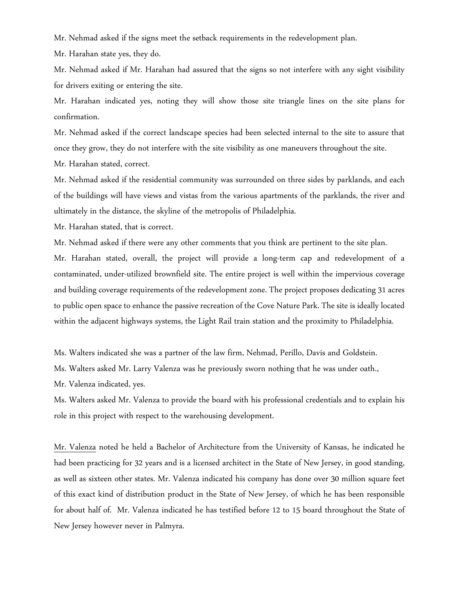Mr. Nehmad asked if the signs meet the setback requirements in the redevelopment plan.

Mr. Harahan state yes, they do.

Mr. Nehmad asked if Mr. Harahan had assured that the signs so not interfere with any sight visibility for drivers exiting or entering the site.

Mr. Harahan indicated yes, noting they will show those site triangle lines on the site plans for confirmation.

Mr. Nehmad asked if the correct landscape species had been selected internal to the site to assure that once they grow, they do not interfere with the site visibility as one maneuvers throughout the site. Mr. Harahan stated, correct.

Mr. Nehmad asked if the residential community was surrounded on three sides by parklands, and each of the buildings will have views and vistas from the various apartments of the parklands, the river and ultimately in the distance, the skyline of the metropolis of Philadelphia.

Mr. Harahan stated, that is correct.

Mr. Nehmad asked if there were any other comments that you think are pertinent to the site plan.

Mr. Harahan stated, overall, the project will provide a long-term cap and redevelopment of a contaminated, under-utilized brownfield site. The entire project is well within the impervious coverage and building coverage requirements of the redevelopment zone. The project proposes dedicating 31 acres to public open space to enhance the passive recreation of the Cove Nature Park. The site is ideally located within the adjacent highways systems, the Light Rail train station and the proximity to Philadelphia.

Ms. Walters indicated she was a partner of the law firm, Nehmad, Perillo, Davis and Goldstein.

Ms. Walters asked Mr. Larry Valenza was he previously sworn nothing that he was under oath.,

Mr. Valenza indicated, yes.

Ms. Walters asked Mr. Valenza to provide the board with his professional credentials and to explain his role in this project with respect to the warehousing development.

Mr. Valenza noted he held a Bachelor of Architecture from the University of Kansas, he indicated he had been practicing for 32 years and is a licensed architect in the State of New Jersey, in good standing, as well as sixteen other states. Mr. Valenza indicated his company has done over 30 million square feet of this exact kind of distribution product in the State of New Jersey, of which he has been responsible for about half of. Mr. Valenza indicated he has testified before 12 to 15 board throughout the State of New Jersey however never in Palmyra.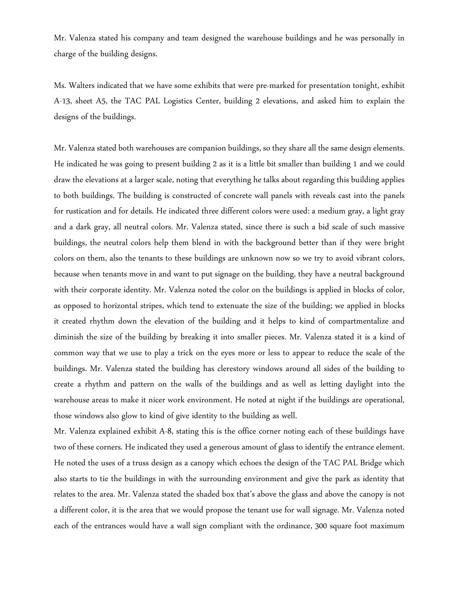Mr. Valenza stated his company and team designed the warehouse buildings and he was personally in charge of the building designs.

Ms. Walters indicated that we have some exhibits that were pre-marked for presentation tonight, exhibit A-13, sheet A5, the TAC PAL Logistics Center, building 2 elevations, and asked him to explain the designs of the buildings.

Mr. Valenza stated both warehouses are companion buildings, so they share all the same design elements. He indicated he was going to present building 2 as it is a little bit smaller than building 1 and we could draw the elevations at a larger scale, noting that everything he talks about regarding this building applies to both buildings. The building is constructed of concrete wall panels with reveals cast into the panels for rustication and for details. He indicated three different colors were used: a medium gray, a light gray and a dark gray, all neutral colors. Mr. Valenza stated, since there is such a bid scale of such massive buildings, the neutral colors help them blend in with the background better than if they were bright colors on them, also the tenants to these buildings are unknown now so we try to avoid vibrant colors, because when tenants move in and want to put signage on the building, they have a neutral background with their corporate identity. Mr. Valenza noted the color on the buildings is applied in blocks of color, as opposed to horizontal stripes, which tend to extenuate the size of the building; we applied in blocks it created rhythm down the elevation of the building and it helps to kind of compartmentalize and diminish the size of the building by breaking it into smaller pieces. Mr. Valenza stated it is a kind of common way that we use to play a trick on the eyes more or less to appear to reduce the scale of the buildings. Mr. Valenza stated the building has clerestory windows around all sides of the building to create a rhythm and pattern on the walls of the buildings and as well as letting daylight into the warehouse areas to make it nicer work environment. He noted at night if the buildings are operational, those windows also glow to kind of give identity to the building as well.

Mr. Valenza explained exhibit A-8, stating this is the office corner noting each of these buildings have two of these corners. He indicated they used a generous amount of glass to identify the entrance element. He noted the uses of a truss design as a canopy which echoes the design of the TAC PAL Bridge which also starts to tie the buildings in with the surrounding environment and give the park as identity that relates to the area. Mr. Valenza stated the shaded box that's above the glass and above the canopy is not a different color, it is the area that we would propose the tenant use for wall signage. Mr. Valenza noted each of the entrances would have a wall sign compliant with the ordinance, 300 square foot maximum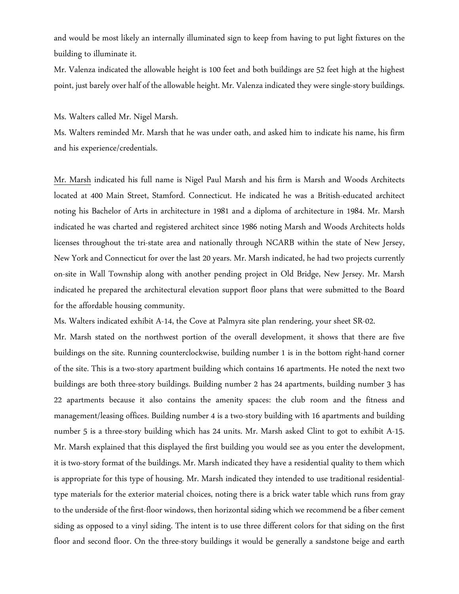and would be most likely an internally illuminated sign to keep from having to put light fixtures on the building to illuminate it.

Mr. Valenza indicated the allowable height is 100 feet and both buildings are 52 feet high at the highest point, just barely over half of the allowable height. Mr. Valenza indicated they were single-story buildings.

Ms. Walters called Mr. Nigel Marsh.

Ms. Walters reminded Mr. Marsh that he was under oath, and asked him to indicate his name, his firm and his experience/credentials.

Mr. Marsh indicated his full name is Nigel Paul Marsh and his firm is Marsh and Woods Architects located at 400 Main Street, Stamford. Connecticut. He indicated he was a British-educated architect noting his Bachelor of Arts in architecture in 1981 and a diploma of architecture in 1984. Mr. Marsh indicated he was charted and registered architect since 1986 noting Marsh and Woods Architects holds licenses throughout the tri-state area and nationally through NCARB within the state of New Jersey, New York and Connecticut for over the last 20 years. Mr. Marsh indicated, he had two projects currently on-site in Wall Township along with another pending project in Old Bridge, New Jersey. Mr. Marsh indicated he prepared the architectural elevation support floor plans that were submitted to the Board for the affordable housing community.

Ms. Walters indicated exhibit A-14, the Cove at Palmyra site plan rendering, your sheet SR-02.

Mr. Marsh stated on the northwest portion of the overall development, it shows that there are five buildings on the site. Running counterclockwise, building number 1 is in the bottom right-hand corner of the site. This is a two-story apartment building which contains 16 apartments. He noted the next two buildings are both three-story buildings. Building number 2 has 24 apartments, building number 3 has 22 apartments because it also contains the amenity spaces: the club room and the fitness and management/leasing offices. Building number 4 is a two-story building with 16 apartments and building number 5 is a three-story building which has 24 units. Mr. Marsh asked Clint to got to exhibit A-15. Mr. Marsh explained that this displayed the first building you would see as you enter the development, it is two-story format of the buildings. Mr. Marsh indicated they have a residential quality to them which is appropriate for this type of housing. Mr. Marsh indicated they intended to use traditional residentialtype materials for the exterior material choices, noting there is a brick water table which runs from gray to the underside of the first-floor windows, then horizontal siding which we recommend be a fiber cement siding as opposed to a vinyl siding. The intent is to use three different colors for that siding on the first floor and second floor. On the three-story buildings it would be generally a sandstone beige and earth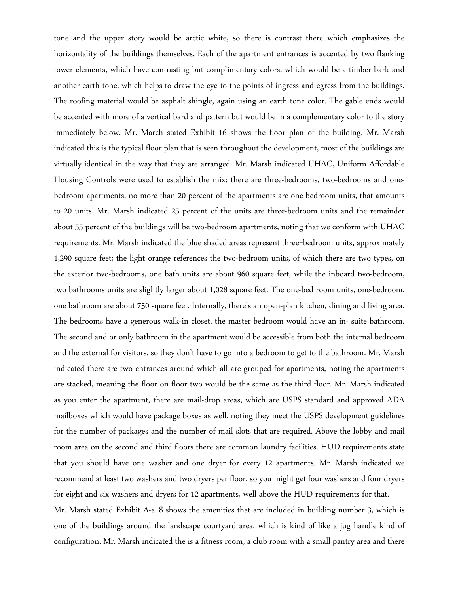tone and the upper story would be arctic white, so there is contrast there which emphasizes the horizontality of the buildings themselves. Each of the apartment entrances is accented by two flanking tower elements, which have contrasting but complimentary colors, which would be a timber bark and another earth tone, which helps to draw the eye to the points of ingress and egress from the buildings. The roofing material would be asphalt shingle, again using an earth tone color. The gable ends would be accented with more of a vertical bard and pattern but would be in a complementary color to the story immediately below. Mr. March stated Exhibit 16 shows the floor plan of the building. Mr. Marsh indicated this is the typical floor plan that is seen throughout the development, most of the buildings are virtually identical in the way that they are arranged. Mr. Marsh indicated UHAC, Uniform Affordable Housing Controls were used to establish the mix; there are three-bedrooms, two-bedrooms and onebedroom apartments, no more than 20 percent of the apartments are one-bedroom units, that amounts to 20 units. Mr. Marsh indicated 25 percent of the units are three-bedroom units and the remainder about 55 percent of the buildings will be two-bedroom apartments, noting that we conform with UHAC requirements. Mr. Marsh indicated the blue shaded areas represent three=bedroom units, approximately 1,290 square feet; the light orange references the two-bedroom units, of which there are two types, on the exterior two-bedrooms, one bath units are about 960 square feet, while the inboard two-bedroom, two bathrooms units are slightly larger about 1,028 square feet. The one-bed room units, one-bedroom, one bathroom are about 750 square feet. Internally, there's an open-plan kitchen, dining and living area. The bedrooms have a generous walk-in closet, the master bedroom would have an in- suite bathroom. The second and or only bathroom in the apartment would be accessible from both the internal bedroom and the external for visitors, so they don't have to go into a bedroom to get to the bathroom. Mr. Marsh indicated there are two entrances around which all are grouped for apartments, noting the apartments are stacked, meaning the floor on floor two would be the same as the third floor. Mr. Marsh indicated as you enter the apartment, there are mail-drop areas, which are USPS standard and approved ADA mailboxes which would have package boxes as well, noting they meet the USPS development guidelines for the number of packages and the number of mail slots that are required. Above the lobby and mail room area on the second and third floors there are common laundry facilities. HUD requirements state that you should have one washer and one dryer for every 12 apartments. Mr. Marsh indicated we recommend at least two washers and two dryers per floor, so you might get four washers and four dryers for eight and six washers and dryers for 12 apartments, well above the HUD requirements for that. Mr. Marsh stated Exhibit A-a18 shows the amenities that are included in building number 3, which is one of the buildings around the landscape courtyard area, which is kind of like a jug handle kind of

configuration. Mr. Marsh indicated the is a fitness room, a club room with a small pantry area and there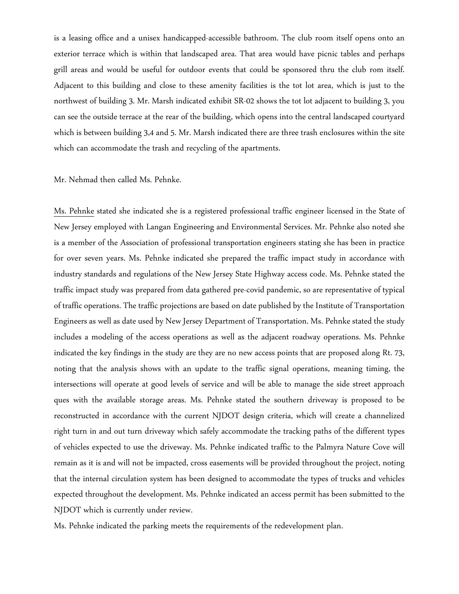is a leasing office and a unisex handicapped-accessible bathroom. The club room itself opens onto an exterior terrace which is within that landscaped area. That area would have picnic tables and perhaps grill areas and would be useful for outdoor events that could be sponsored thru the club rom itself. Adjacent to this building and close to these amenity facilities is the tot lot area, which is just to the northwest of building 3. Mr. Marsh indicated exhibit SR-02 shows the tot lot adjacent to building 3, you can see the outside terrace at the rear of the building, which opens into the central landscaped courtyard which is between building 3,4 and 5. Mr. Marsh indicated there are three trash enclosures within the site which can accommodate the trash and recycling of the apartments.

#### Mr. Nehmad then called Ms. Pehnke.

Ms. Pehnke stated she indicated she is a registered professional traffic engineer licensed in the State of New Jersey employed with Langan Engineering and Environmental Services. Mr. Pehnke also noted she is a member of the Association of professional transportation engineers stating she has been in practice for over seven years. Ms. Pehnke indicated she prepared the traffic impact study in accordance with industry standards and regulations of the New Jersey State Highway access code. Ms. Pehnke stated the traffic impact study was prepared from data gathered pre-covid pandemic, so are representative of typical of traffic operations. The traffic projections are based on date published by the Institute of Transportation Engineers as well as date used by New Jersey Department of Transportation. Ms. Pehnke stated the study includes a modeling of the access operations as well as the adjacent roadway operations. Ms. Pehnke indicated the key findings in the study are they are no new access points that are proposed along Rt. 73, noting that the analysis shows with an update to the traffic signal operations, meaning timing, the intersections will operate at good levels of service and will be able to manage the side street approach ques with the available storage areas. Ms. Pehnke stated the southern driveway is proposed to be reconstructed in accordance with the current NJDOT design criteria, which will create a channelized right turn in and out turn driveway which safely accommodate the tracking paths of the different types of vehicles expected to use the driveway. Ms. Pehnke indicated traffic to the Palmyra Nature Cove will remain as it is and will not be impacted, cross easements will be provided throughout the project, noting that the internal circulation system has been designed to accommodate the types of trucks and vehicles expected throughout the development. Ms. Pehnke indicated an access permit has been submitted to the NJDOT which is currently under review.

Ms. Pehnke indicated the parking meets the requirements of the redevelopment plan.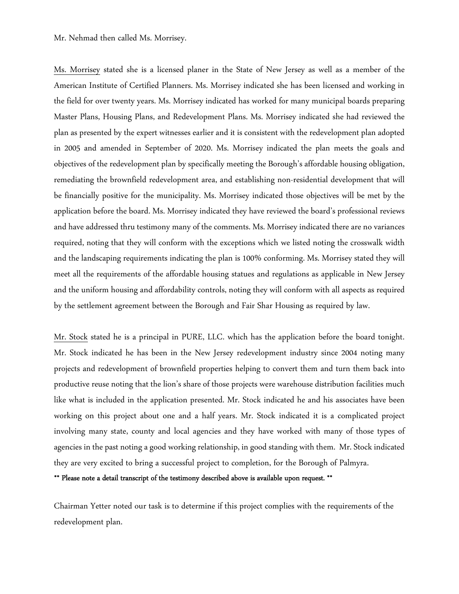### Mr. Nehmad then called Ms. Morrisey.

Ms. Morrisey stated she is a licensed planer in the State of New Jersey as well as a member of the American Institute of Certified Planners. Ms. Morrisey indicated she has been licensed and working in the field for over twenty years. Ms. Morrisey indicated has worked for many municipal boards preparing Master Plans, Housing Plans, and Redevelopment Plans. Ms. Morrisey indicated she had reviewed the plan as presented by the expert witnesses earlier and it is consistent with the redevelopment plan adopted in 2005 and amended in September of 2020. Ms. Morrisey indicated the plan meets the goals and objectives of the redevelopment plan by specifically meeting the Borough's affordable housing obligation, remediating the brownfield redevelopment area, and establishing non-residential development that will be financially positive for the municipality. Ms. Morrisey indicated those objectives will be met by the application before the board. Ms. Morrisey indicated they have reviewed the board's professional reviews and have addressed thru testimony many of the comments. Ms. Morrisey indicated there are no variances required, noting that they will conform with the exceptions which we listed noting the crosswalk width and the landscaping requirements indicating the plan is 100% conforming. Ms. Morrisey stated they will meet all the requirements of the affordable housing statues and regulations as applicable in New Jersey and the uniform housing and affordability controls, noting they will conform with all aspects as required by the settlement agreement between the Borough and Fair Shar Housing as required by law.

Mr. Stock stated he is a principal in PURE, LLC. which has the application before the board tonight. Mr. Stock indicated he has been in the New Jersey redevelopment industry since 2004 noting many projects and redevelopment of brownfield properties helping to convert them and turn them back into productive reuse noting that the lion's share of those projects were warehouse distribution facilities much like what is included in the application presented. Mr. Stock indicated he and his associates have been working on this project about one and a half years. Mr. Stock indicated it is a complicated project involving many state, county and local agencies and they have worked with many of those types of agencies in the past noting a good working relationship, in good standing with them. Mr. Stock indicated they are very excited to bring a successful project to completion, for the Borough of Palmyra.

\*\* Please note a detail transcript of the testimony described above is available upon request. \*\*

Chairman Yetter noted our task is to determine if this project complies with the requirements of the redevelopment plan.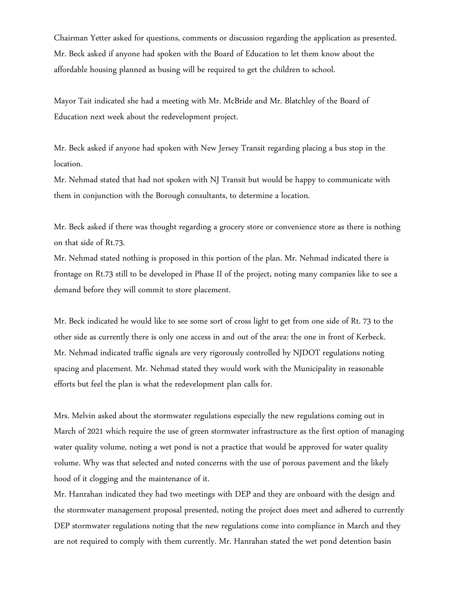Chairman Yetter asked for questions, comments or discussion regarding the application as presented. Mr. Beck asked if anyone had spoken with the Board of Education to let them know about the affordable housing planned as busing will be required to get the children to school.

Mayor Tait indicated she had a meeting with Mr. McBride and Mr. Blatchley of the Board of Education next week about the redevelopment project.

Mr. Beck asked if anyone had spoken with New Jersey Transit regarding placing a bus stop in the location.

Mr. Nehmad stated that had not spoken with NJ Transit but would be happy to communicate with them in conjunction with the Borough consultants, to determine a location.

Mr. Beck asked if there was thought regarding a grocery store or convenience store as there is nothing on that side of Rt.73.

Mr. Nehmad stated nothing is proposed in this portion of the plan. Mr. Nehmad indicated there is frontage on Rt.73 still to be developed in Phase II of the project, noting many companies like to see a demand before they will commit to store placement.

Mr. Beck indicated he would like to see some sort of cross light to get from one side of Rt. 73 to the other side as currently there is only one access in and out of the area: the one in front of Kerbeck. Mr. Nehmad indicated traffic signals are very rigorously controlled by NJDOT regulations noting spacing and placement. Mr. Nehmad stated they would work with the Municipality in reasonable efforts but feel the plan is what the redevelopment plan calls for.

Mrs. Melvin asked about the stormwater regulations especially the new regulations coming out in March of 2021 which require the use of green stormwater infrastructure as the first option of managing water quality volume, noting a wet pond is not a practice that would be approved for water quality volume. Why was that selected and noted concerns with the use of porous pavement and the likely hood of it clogging and the maintenance of it.

Mr. Hanrahan indicated they had two meetings with DEP and they are onboard with the design and the stormwater management proposal presented, noting the project does meet and adhered to currently DEP stormwater regulations noting that the new regulations come into compliance in March and they are not required to comply with them currently. Mr. Hanrahan stated the wet pond detention basin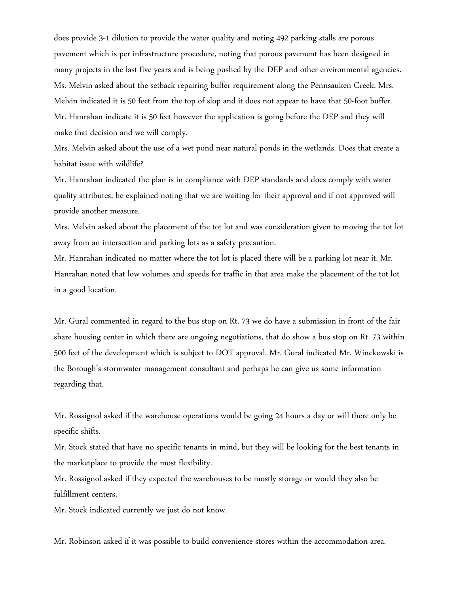does provide 3-1 dilution to provide the water quality and noting 492 parking stalls are porous pavement which is per infrastructure procedure, noting that porous pavement has been designed in many projects in the last five years and is being pushed by the DEP and other environmental agencies. Ms. Melvin asked about the setback repairing buffer requirement along the Pennsauken Creek. Mrs. Melvin indicated it is 50 feet from the top of slop and it does not appear to have that 50-foot buffer. Mr. Hanrahan indicate it is 50 feet however the application is going before the DEP and they will make that decision and we will comply.

Mrs. Melvin asked about the use of a wet pond near natural ponds in the wetlands. Does that create a habitat issue with wildlife?

Mr. Hanrahan indicated the plan is in compliance with DEP standards and does comply with water quality attributes, he explained noting that we are waiting for their approval and if not approved will provide another measure.

Mrs. Melvin asked about the placement of the tot lot and was consideration given to moving the tot lot away from an intersection and parking lots as a safety precaution.

Mr. Hanrahan indicated no matter where the tot lot is placed there will be a parking lot near it. Mr. Hanrahan noted that low volumes and speeds for traffic in that area make the placement of the tot lot in a good location.

Mr. Gural commented in regard to the bus stop on Rt. 73 we do have a submission in front of the fair share housing center in which there are ongoing negotiations, that do show a bus stop on Rt. 73 within 500 feet of the development which is subject to DOT approval. Mr. Gural indicated Mr. Winckowski is the Borough's stormwater management consultant and perhaps he can give us some information regarding that.

Mr. Rossignol asked if the warehouse operations would be going 24 hours a day or will there only be specific shifts.

Mr. Stock stated that have no specific tenants in mind, but they will be looking for the best tenants in the marketplace to provide the most flexibility.

Mr. Rossignol asked if they expected the warehouses to be mostly storage or would they also be fulfillment centers.

Mr. Stock indicated currently we just do not know.

Mr. Robinson asked if it was possible to build convenience stores within the accommodation area.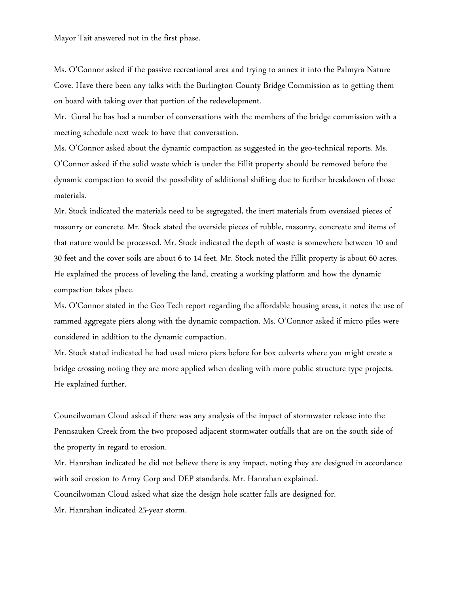Mayor Tait answered not in the first phase.

Ms. O'Connor asked if the passive recreational area and trying to annex it into the Palmyra Nature Cove. Have there been any talks with the Burlington County Bridge Commission as to getting them on board with taking over that portion of the redevelopment.

Mr. Gural he has had a number of conversations with the members of the bridge commission with a meeting schedule next week to have that conversation.

Ms. O'Connor asked about the dynamic compaction as suggested in the geo-technical reports. Ms. O'Connor asked if the solid waste which is under the Fillit property should be removed before the dynamic compaction to avoid the possibility of additional shifting due to further breakdown of those materials.

Mr. Stock indicated the materials need to be segregated, the inert materials from oversized pieces of masonry or concrete. Mr. Stock stated the overside pieces of rubble, masonry, concreate and items of that nature would be processed. Mr. Stock indicated the depth of waste is somewhere between 10 and 30 feet and the cover soils are about 6 to 14 feet. Mr. Stock noted the Fillit property is about 60 acres. He explained the process of leveling the land, creating a working platform and how the dynamic compaction takes place.

Ms. O'Connor stated in the Geo Tech report regarding the affordable housing areas, it notes the use of rammed aggregate piers along with the dynamic compaction. Ms. O'Connor asked if micro piles were considered in addition to the dynamic compaction.

Mr. Stock stated indicated he had used micro piers before for box culverts where you might create a bridge crossing noting they are more applied when dealing with more public structure type projects. He explained further.

Councilwoman Cloud asked if there was any analysis of the impact of stormwater release into the Pennsauken Creek from the two proposed adjacent stormwater outfalls that are on the south side of the property in regard to erosion.

Mr. Hanrahan indicated he did not believe there is any impact, noting they are designed in accordance with soil erosion to Army Corp and DEP standards. Mr. Hanrahan explained. Councilwoman Cloud asked what size the design hole scatter falls are designed for. Mr. Hanrahan indicated 25-year storm.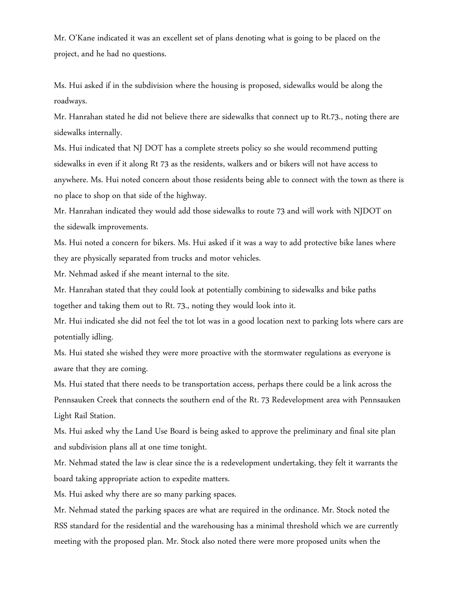Mr. O'Kane indicated it was an excellent set of plans denoting what is going to be placed on the project, and he had no questions.

Ms. Hui asked if in the subdivision where the housing is proposed, sidewalks would be along the roadways.

Mr. Hanrahan stated he did not believe there are sidewalks that connect up to Rt.73., noting there are sidewalks internally.

Ms. Hui indicated that NJ DOT has a complete streets policy so she would recommend putting sidewalks in even if it along Rt 73 as the residents, walkers and or bikers will not have access to anywhere. Ms. Hui noted concern about those residents being able to connect with the town as there is no place to shop on that side of the highway.

Mr. Hanrahan indicated they would add those sidewalks to route 73 and will work with NJDOT on the sidewalk improvements.

Ms. Hui noted a concern for bikers. Ms. Hui asked if it was a way to add protective bike lanes where they are physically separated from trucks and motor vehicles.

Mr. Nehmad asked if she meant internal to the site.

Mr. Hanrahan stated that they could look at potentially combining to sidewalks and bike paths together and taking them out to Rt. 73., noting they would look into it.

Mr. Hui indicated she did not feel the tot lot was in a good location next to parking lots where cars are potentially idling.

Ms. Hui stated she wished they were more proactive with the stormwater regulations as everyone is aware that they are coming.

Ms. Hui stated that there needs to be transportation access, perhaps there could be a link across the Pennsauken Creek that connects the southern end of the Rt. 73 Redevelopment area with Pennsauken Light Rail Station.

Ms. Hui asked why the Land Use Board is being asked to approve the preliminary and final site plan and subdivision plans all at one time tonight.

Mr. Nehmad stated the law is clear since the is a redevelopment undertaking, they felt it warrants the board taking appropriate action to expedite matters.

Ms. Hui asked why there are so many parking spaces.

Mr. Nehmad stated the parking spaces are what are required in the ordinance. Mr. Stock noted the RSS standard for the residential and the warehousing has a minimal threshold which we are currently meeting with the proposed plan. Mr. Stock also noted there were more proposed units when the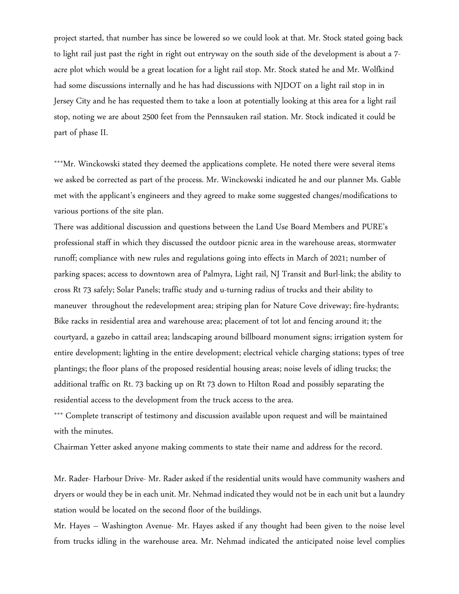project started, that number has since be lowered so we could look at that. Mr. Stock stated going back to light rail just past the right in right out entryway on the south side of the development is about a 7 acre plot which would be a great location for a light rail stop. Mr. Stock stated he and Mr. Wolfkind had some discussions internally and he has had discussions with NJDOT on a light rail stop in in Jersey City and he has requested them to take a loon at potentially looking at this area for a light rail stop, noting we are about 2500 feet from the Pennsauken rail station. Mr. Stock indicated it could be part of phase II.

\*\*\*Mr. Winckowski stated they deemed the applications complete. He noted there were several items we asked be corrected as part of the process. Mr. Winckowski indicated he and our planner Ms. Gable met with the applicant's engineers and they agreed to make some suggested changes/modifications to various portions of the site plan.

There was additional discussion and questions between the Land Use Board Members and PURE's professional staff in which they discussed the outdoor picnic area in the warehouse areas, stormwater runoff; compliance with new rules and regulations going into effects in March of 2021; number of parking spaces; access to downtown area of Palmyra, Light rail, NJ Transit and Burl-link; the ability to cross Rt 73 safely; Solar Panels; traffic study and u-turning radius of trucks and their ability to maneuver throughout the redevelopment area; striping plan for Nature Cove driveway; fire-hydrants; Bike racks in residential area and warehouse area; placement of tot lot and fencing around it; the courtyard, a gazebo in cattail area; landscaping around billboard monument signs; irrigation system for entire development; lighting in the entire development; electrical vehicle charging stations; types of tree plantings; the floor plans of the proposed residential housing areas; noise levels of idling trucks; the additional traffic on Rt. 73 backing up on Rt 73 down to Hilton Road and possibly separating the residential access to the development from the truck access to the area.

\*\*\* Complete transcript of testimony and discussion available upon request and will be maintained with the minutes.

Chairman Yetter asked anyone making comments to state their name and address for the record.

Mr. Rader- Harbour Drive- Mr. Rader asked if the residential units would have community washers and dryers or would they be in each unit. Mr. Nehmad indicated they would not be in each unit but a laundry station would be located on the second floor of the buildings.

Mr. Hayes – Washington Avenue- Mr. Hayes asked if any thought had been given to the noise level from trucks idling in the warehouse area. Mr. Nehmad indicated the anticipated noise level complies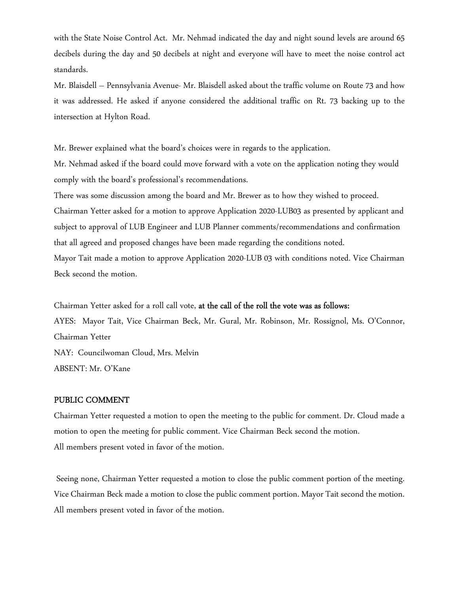with the State Noise Control Act. Mr. Nehmad indicated the day and night sound levels are around 65 decibels during the day and 50 decibels at night and everyone will have to meet the noise control act standards.

Mr. Blaisdell – Pennsylvania Avenue- Mr. Blaisdell asked about the traffic volume on Route 73 and how it was addressed. He asked if anyone considered the additional traffic on Rt. 73 backing up to the intersection at Hylton Road.

Mr. Brewer explained what the board's choices were in regards to the application.

Mr. Nehmad asked if the board could move forward with a vote on the application noting they would comply with the board's professional's recommendations.

There was some discussion among the board and Mr. Brewer as to how they wished to proceed. Chairman Yetter asked for a motion to approve Application 2020-LUB03 as presented by applicant and subject to approval of LUB Engineer and LUB Planner comments/recommendations and confirmation that all agreed and proposed changes have been made regarding the conditions noted. Mayor Tait made a motion to approve Application 2020-LUB 03 with conditions noted. Vice Chairman Beck second the motion.

Chairman Yetter asked for a roll call vote, at the call of the roll the vote was as follows: AYES: Mayor Tait, Vice Chairman Beck, Mr. Gural, Mr. Robinson, Mr. Rossignol, Ms. O'Connor, Chairman Yetter NAY: Councilwoman Cloud, Mrs. Melvin ABSENT: Mr. O'Kane

# PUBLIC COMMENT

Chairman Yetter requested a motion to open the meeting to the public for comment. Dr. Cloud made a motion to open the meeting for public comment. Vice Chairman Beck second the motion. All members present voted in favor of the motion.

 Seeing none, Chairman Yetter requested a motion to close the public comment portion of the meeting. Vice Chairman Beck made a motion to close the public comment portion. Mayor Tait second the motion. All members present voted in favor of the motion.